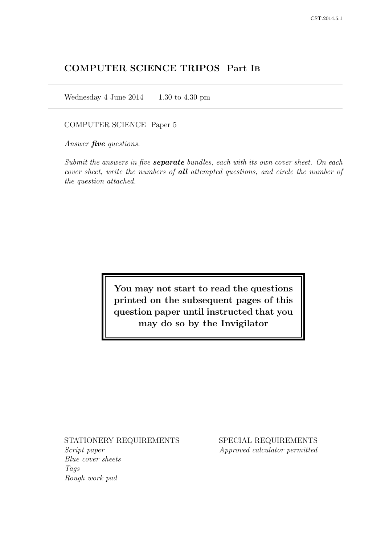# COMPUTER SCIENCE TRIPOS Part IB

Wednesday 4 June 2014  $1.30$  to 4.30 pm

COMPUTER SCIENCE Paper 5

Answer *five* questions.

Submit the answers in five **separate** bundles, each with its own cover sheet. On each cover sheet, write the numbers of **all** attempted questions, and circle the number of the question attached.

> You may not start to read the questions printed on the subsequent pages of this question paper until instructed that you may do so by the Invigilator

STATIONERY REQUIREMENTS

Script paper Blue cover sheets Tags Rough work pad

SPECIAL REQUIREMENTS Approved calculator permitted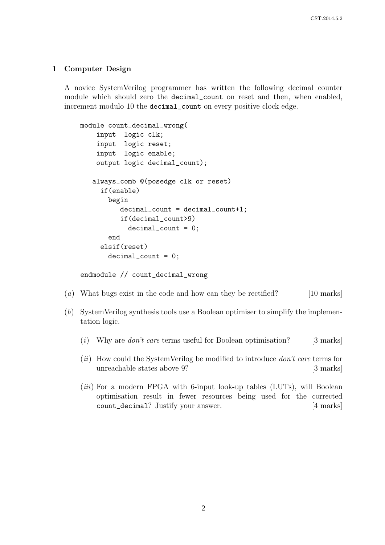#### 1 Computer Design

A novice SystemVerilog programmer has written the following decimal counter module which should zero the decimal\_count on reset and then, when enabled, increment modulo 10 the decimal\_count on every positive clock edge.

```
module count_decimal_wrong(
    input logic clk;
    input logic reset;
    input logic enable;
    output logic decimal_count);
   always_comb @(posedge clk or reset)
     if(enable)
       begin
          decimal_count = decimal_count+1;
          if(decimal_count>9)
            decimal_count = 0;
       end
     elsif(reset)
       decimal_count = 0;
```

```
endmodule // count_decimal_wrong
```
- (a) What bugs exist in the code and how can they be rectified? [10 marks]
- (b) SystemVerilog synthesis tools use a Boolean optimiser to simplify the implementation logic.
	- (i) Why are *don't care* terms useful for Boolean optimisation? [3 marks]
	- $(ii)$  How could the SystemVerilog be modified to introduce *don't care* terms for unreachable states above 9? [3 marks]
	- (*iii*) For a modern FPGA with 6-input look-up tables (LUTs), will Boolean optimisation result in fewer resources being used for the corrected count\_decimal? Justify your answer. [4 marks]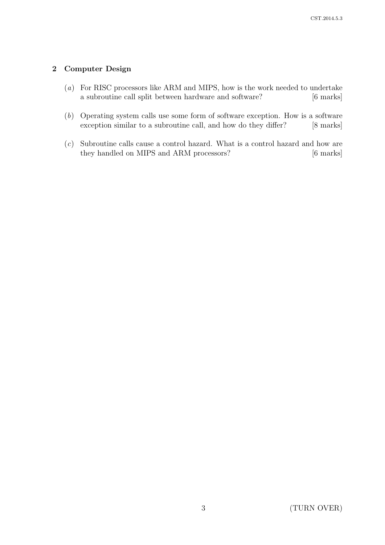# 2 Computer Design

- (a) For RISC processors like ARM and MIPS, how is the work needed to undertake a subroutine call split between hardware and software? [6 marks]
- (b) Operating system calls use some form of software exception. How is a software exception similar to a subroutine call, and how do they differ? [8 marks]
- (c) Subroutine calls cause a control hazard. What is a control hazard and how are they handled on MIPS and ARM processors? [6 marks]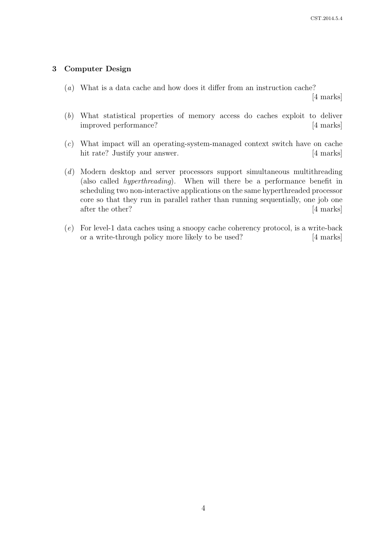### 3 Computer Design

(a) What is a data cache and how does it differ from an instruction cache?

[4 marks]

- (b) What statistical properties of memory access do caches exploit to deliver improved performance? [4 marks]
- (c) What impact will an operating-system-managed context switch have on cache hit rate? Justify your answer. [4 marks]
- (d) Modern desktop and server processors support simultaneous multithreading (also called hyperthreading). When will there be a performance benefit in scheduling two non-interactive applications on the same hyperthreaded processor core so that they run in parallel rather than running sequentially, one job one after the other? [4 marks]
- (e) For level-1 data caches using a snoopy cache coherency protocol, is a write-back or a write-through policy more likely to be used? [4 marks]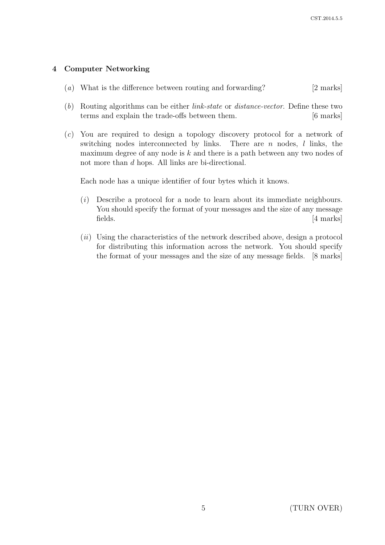# 4 Computer Networking

- (a) What is the difference between routing and forwarding? [2 marks]
- (b) Routing algorithms can be either link-state or distance-vector. Define these two terms and explain the trade-offs between them. [6 marks]
- (c) You are required to design a topology discovery protocol for a network of switching nodes interconnected by links. There are  $n$  nodes,  $l$  links, the maximum degree of any node is  $k$  and there is a path between any two nodes of not more than d hops. All links are bi-directional.

Each node has a unique identifier of four bytes which it knows.

- (i) Describe a protocol for a node to learn about its immediate neighbours. You should specify the format of your messages and the size of any message fields. [4 marks]
- $(ii)$  Using the characteristics of the network described above, design a protocol for distributing this information across the network. You should specify the format of your messages and the size of any message fields. [8 marks]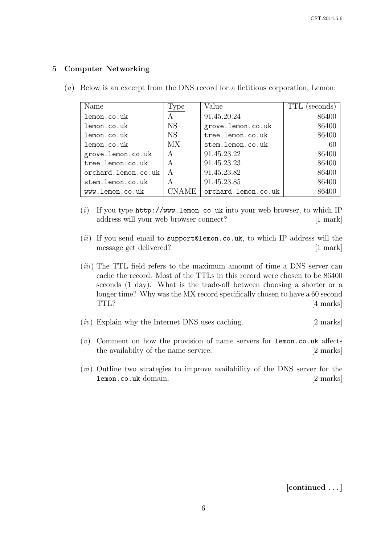## 5 Computer Networking

| Name                | Type         | Value               | TTL<br>seconds |
|---------------------|--------------|---------------------|----------------|
| lemon.co.uk         | A            | 91.45.20.24         | 86400          |
| lemon.co.uk         | <b>NS</b>    | grove.lemon.co.uk   | 86400          |
| lemon.co.uk         | <b>NS</b>    | tree.lemon.co.uk    | 86400          |
| lemon.co.uk         | MX.          | stem.lemon.co.uk    | 60             |
| grove.lemon.co.uk   | A            | 91.45.23.22         | 86400          |
| tree.lemon.co.uk    | A            | 91.45.23.23         | 86400          |
| orchard.lemon.co.uk | $\mathsf{A}$ | 91.45.23.82         | 86400          |
| stem.lemon.co.uk    | A            | 91.45.23.85         | 86400          |
| www.lemon.co.uk     | NAME         | orchard.lemon.co.uk | 86400          |

(a) Below is an excerpt from the DNS record for a fictitious corporation, Lemon:

- (i) If you type  $http://www.lemon.co.uk into your web browser, to which IP$ address will your web browser connect? [1 mark]
- (ii) If you send email to support@lemon.co.uk, to which IP address will the message get delivered? [1 mark]
- $(iii)$  The TTL field refers to the maximum amount of time a DNS server can cache the record. Most of the TTLs in this record were chosen to be 86400 seconds (1 day). What is the trade-off between choosing a shorter or a longer time? Why was the MX record specifically chosen to have a 60 second TTL? [4 marks]
- $(iv)$  Explain why the Internet DNS uses caching. [2 marks]
- (v) Comment on how the provision of name servers for lemon.co.uk affects the availabilty of the name service. [2 marks]
- (vi) Outline two strategies to improve availability of the DNS server for the lemon.co.uk domain. [2 marks]

[continued . . . ]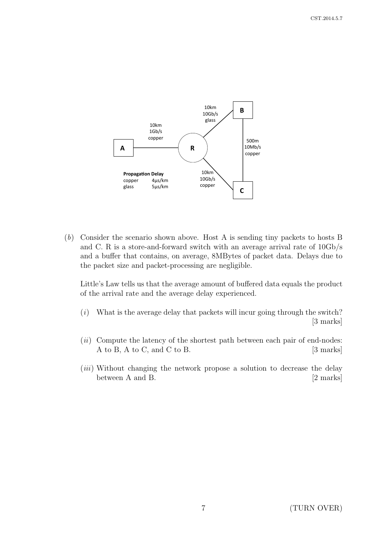

(b) Consider the scenario shown above. Host A is sending tiny packets to hosts B and C. R is a store-and-forward switch with an average arrival rate of 10Gb/s and a buffer that contains, on average, 8MBytes of packet data. Delays due to the packet size and packet-processing are negligible.

Little's Law tells us that the average amount of buffered data equals the product of the arrival rate and the average delay experienced.

- $(i)$  What is the average delay that packets will incur going through the switch? [3 marks]
- $(ii)$  Compute the latency of the shortest path between each pair of end-nodes: A to B, A to C, and C to B. [3 marks]
- (*iii*) Without changing the network propose a solution to decrease the delay between A and B. [2 marks]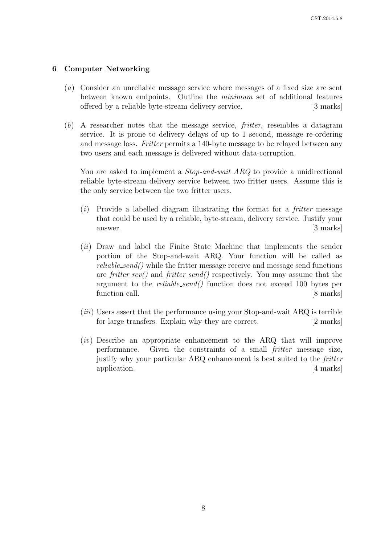### 6 Computer Networking

- (a) Consider an unreliable message service where messages of a fixed size are sent between known endpoints. Outline the minimum set of additional features offered by a reliable byte-stream delivery service. [3 marks]
- (b) A researcher notes that the message service, fritter, resembles a datagram service. It is prone to delivery delays of up to 1 second, message re-ordering and message loss. Fritter permits a 140-byte message to be relayed between any two users and each message is delivered without data-corruption.

You are asked to implement a *Stop-and-wait ARQ* to provide a unidirectional reliable byte-stream delivery service between two fritter users. Assume this is the only service between the two fritter users.

- $(i)$  Provide a labelled diagram illustrating the format for a *fritter* message that could be used by a reliable, byte-stream, delivery service. Justify your answer. [3 marks]
- (*ii*) Draw and label the Finite State Machine that implements the sender portion of the Stop-and-wait ARQ. Your function will be called as reliable send() while the fritter message receive and message send functions are fritter  $rcv()$  and fritter send() respectively. You may assume that the argument to the reliable send() function does not exceed 100 bytes per function call. [8 marks]
- $(iii)$  Users assert that the performance using your Stop-and-wait ARQ is terrible for large transfers. Explain why they are correct. [2 marks]
- $(iv)$  Describe an appropriate enhancement to the ARQ that will improve performance. Given the constraints of a small *fritter* message size, justify why your particular ARQ enhancement is best suited to the fritter application. [4 marks]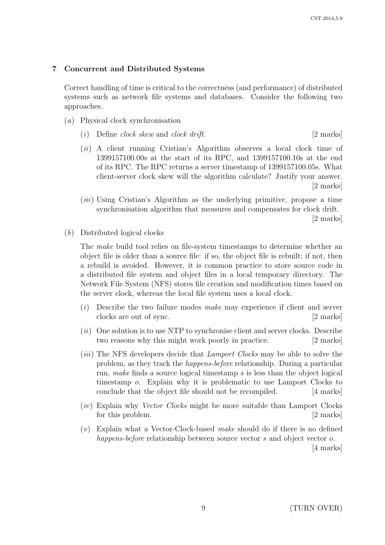### 7 Concurrent and Distributed Systems

Correct handling of time is critical to the correctness (and performance) of distributed systems such as network file systems and databases. Consider the following two approaches.

- (a) Physical clock synchronisation
	- (i) Define clock skew and clock drift.  $[2 \text{ marks}]$
	- (ii) A client running Cristian's Algorithm observes a local clock time of 1399157100.00s at the start of its RPC, and 1399157100.10s at the end of its RPC. The RPC returns a server timestamp of 1399157100.05s. What client-server clock skew will the algorithm calculate? Justify your answer. [2 marks]
	- (iii) Using Cristian's Algorithm as the underlying primitive, propose a time synchronisation algorithm that measures and compensates for clock drift.

[2 marks]

(b) Distributed logical clocks

The make build tool relies on file-system timestamps to determine whether an object file is older than a source file: if so, the object file is rebuilt; if not, then a rebuild is avoided. However, it is common practice to store source code in a distributed file system and object files in a local temporary directory. The Network File System (NFS) stores file creation and modification times based on the server clock, whereas the local file system uses a local clock.

- $(i)$  Describe the two failure modes make may experience if client and server clocks are out of sync. [2 marks]
- $(ii)$  One solution is to use NTP to synchronise client and server clocks. Describe two reasons why this might work poorly in practice. [2 marks]
- (*iii*) The NFS developers decide that *Lamport Clocks* may be able to solve the problem, as they track the happens-before relationship. During a particular run, make finds a source logical timestamp s is less than the object logical timestamp o. Explain why it is problematic to use Lamport Clocks to conclude that the object file should not be recompiled. [4 marks]
- (iv) Explain why Vector Clocks might be more suitable than Lamport Clocks for this problem. [2 marks]
- $(v)$  Explain what a Vector-Clock-based make should do if there is no defined happens-before relationship between source vector s and object vector o.

[4 marks]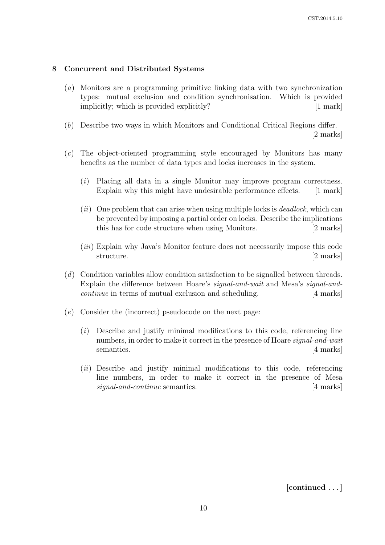# 8 Concurrent and Distributed Systems

- (a) Monitors are a programming primitive linking data with two synchronization types: mutual exclusion and condition synchronisation. Which is provided implicitly; which is provided explicitly? [1 mark]
- (b) Describe two ways in which Monitors and Conditional Critical Regions differ. [2 marks]
- (c) The object-oriented programming style encouraged by Monitors has many benefits as the number of data types and locks increases in the system.
	- $(i)$  Placing all data in a single Monitor may improve program correctness. Explain why this might have undesirable performance effects. [1 mark]
	- $(ii)$  One problem that can arise when using multiple locks is *deadlock*, which can be prevented by imposing a partial order on locks. Describe the implications this has for code structure when using Monitors. [2 marks]
	- (iii) Explain why Java's Monitor feature does not necessarily impose this code structure. [2 marks]
- (d) Condition variables allow condition satisfaction to be signalled between threads. Explain the difference between Hoare's signal-and-wait and Mesa's signal-andcontinue in terms of mutual exclusion and scheduling. [4 marks]
- (e) Consider the (incorrect) pseudocode on the next page:
	- (i) Describe and justify minimal modifications to this code, referencing line numbers, in order to make it correct in the presence of Hoare signal-and-wait semantics. [4 marks]
	- $(ii)$  Describe and justify minimal modifications to this code, referencing line numbers, in order to make it correct in the presence of Mesa signal-and-continue semantics. [4 marks]

[continued . . . ]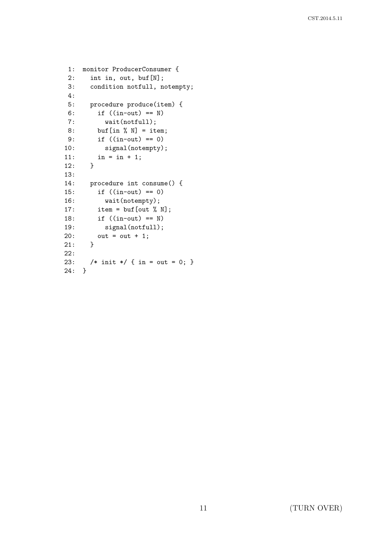```
1: monitor ProducerConsumer {
2: int in, out, buf[N];
3: condition notfull, notempty;
4:
5: procedure produce(item) {
6: if ((in-out) == N)
7: wait(notfull);
8: buf[in % N] = item;
9: if ((in-out) == 0)
10: signal(notempty);
11: in = in + 1;
12: }
13:
14: procedure int consume() {
15: if ((in-out) == 0)
16: wait(notempty);
17: item = \text{buf}[\text{out } \text{\% N}];18: if ((in-out) == N)
19: signal(notfull);
20: out = out + 1;
21: }
22:
23: /* init */ { in = out = 0; }
24: }
```